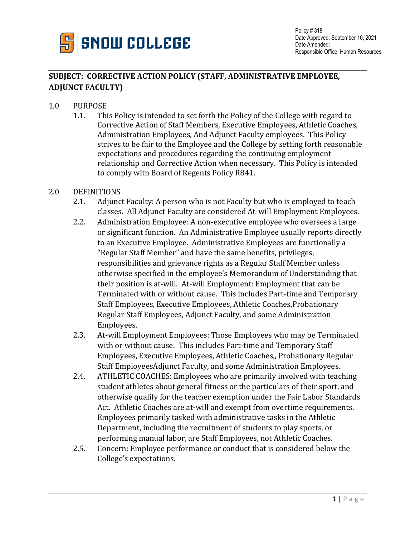

## **SUBJECT: CORRECTIVE ACTION POLICY (STAFF, ADMINISTRATIVE EMPLOYEE, ADJUNCT FACULTY)**

## 1.0 PURPOSE<br>1.1. Thi

1.1. This Policy is intended to set forth the Policy of the College with regard to Corrective Action of Staff Members, Executive Employees, Athletic Coaches, Administration Employees, And Adjunct Faculty employees. This Policy strives to be fair to the Employee and the College by setting forth reasonable expectations and procedures regarding the continuing employment relationship and Corrective Action when necessary. This Policy is intended to comply with Board of Regents Policy R841.

## 2.0 DEFINITIONS<br>2.1. Adjunc

- Adjunct Faculty: A person who is not Faculty but who is employed to teach classes. All Adjunct Faculty are considered At-will Employment Employees.
- 2.2. Administration Employee: A non-executive employee who oversees a large or significant function. An Administrative Employee usually reports directly to an Executive Employee. Administrative Employees are functionally a "Regular Staff Member" and have the same benefits, privileges, responsibilities and grievance rights as a Regular Staff Member unless otherwise specified in the employee's Memorandum of Understanding that their position is at-will. At-will Employment: Employment that can be Terminated with or without cause. This includes Part-time and Temporary Staff Employees, Executive Employees, Athletic Coaches,Probationary Regular Staff Employees, Adjunct Faculty, and some Administration Employees.
- 2.3. At-will Employment Employees: Those Employees who may be Terminated with or without cause. This includes Part-time and Temporary Staff Employees, Executive Employees, Athletic Coaches,, Probationary Regular Staff EmployeesAdjunct Faculty, and some Administration Employees.
- 2.4. ATHLETIC COACHES: Employees who are primarily involved with teaching student athletes about general fitness or the particulars of their sport, and otherwise qualify for the teacher exemption under the Fair Labor Standards Act. Athletic Coaches are at-will and exempt from overtime requirements. Employees primarily tasked with administrative tasks in the Athletic Department, including the recruitment of students to play sports, or performing manual labor, are Staff Employees, not Athletic Coaches.
- 2.5. Concern: Employee performance or conduct that is considered below the College's expectations.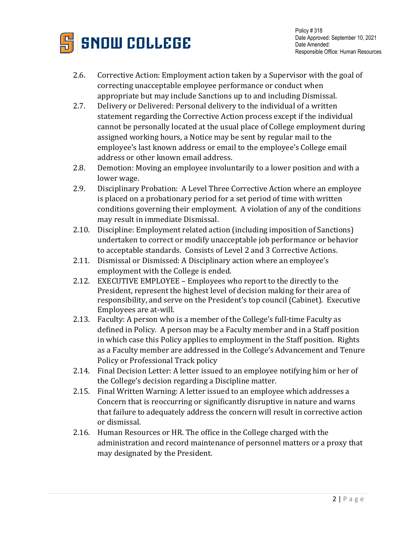

- 2.6. Corrective Action: Employment action taken by a Supervisor with the goal of correcting unacceptable employee performance or conduct when appropriate but may include Sanctions up to and including Dismissal.
- 2.7. Delivery or Delivered: Personal delivery to the individual of a written statement regarding the Corrective Action process except if the individual cannot be personally located at the usual place of College employment during assigned working hours, a Notice may be sent by regular mail to the employee's last known address or email to the employee's College email address or other known email address.
- 2.8. Demotion: Moving an employee involuntarily to a lower position and with a lower wage.
- 2.9. Disciplinary Probation: A Level Three Corrective Action where an employee is placed on a probationary period for a set period of time with written conditions governing their employment. A violation of any of the conditions may result in immediate Dismissal.
- 2.10. Discipline: Employment related action (including imposition of Sanctions) undertaken to correct or modify unacceptable job performance or behavior to acceptable standards. Consists of Level 2 and 3 Corrective Actions.
- 2.11. Dismissal or Dismissed: A Disciplinary action where an employee's employment with the College is ended.
- 2.12. EXECUTIVE EMPLOYEE Employees who report to the directly to the President, represent the highest level of decision making for their area of responsibility, and serve on the President's top council (Cabinet). Executive Employees are at-will.
- 2.13. Faculty: A person who is a member of the College's full-time Faculty as defined in Policy. A person may be a Faculty member and in a Staff position in which case this Policy applies to employment in the Staff position. Rights as a Faculty member are addressed in the College's Advancement and Tenure Policy or Professional Track policy
- 2.14. Final Decision Letter: A letter issued to an employee notifying him or her of the College's decision regarding a Discipline matter.
- 2.15. Final Written Warning: A letter issued to an employee which addresses a Concern that is reoccurring or significantly disruptive in nature and warns that failure to adequately address the concern will result in corrective action or dismissal.
- 2.16. Human Resources or HR. The office in the College charged with the administration and record maintenance of personnel matters or a proxy that may designated by the President.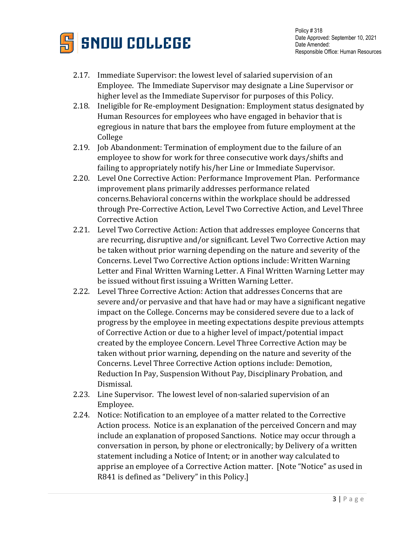

- 2.17. Immediate Supervisor: the lowest level of salaried supervision of an Employee. The Immediate Supervisor may designate a Line Supervisor or higher level as the Immediate Supervisor for purposes of this Policy.
- 2.18. Ineligible for Re-employment Designation: Employment status designated by Human Resources for employees who have engaged in behavior that is egregious in nature that bars the employee from future employment at the College
- 2.19. Job Abandonment: Termination of employment due to the failure of an employee to show for work for three consecutive work days/shifts and failing to appropriately notify his/her Line or Immediate Supervisor.
- 2.20. Level One Corrective Action: Performance Improvement Plan. Performance improvement plans primarily addresses performance related concerns.Behavioral concerns within the workplace should be addressed through Pre-Corrective Action, Level Two Corrective Action, and Level Three Corrective Action
- 2.21. Level Two Corrective Action: Action that addresses employee Concerns that are recurring, disruptive and/or significant. Level Two Corrective Action may be taken without prior warning depending on the nature and severity of the Concerns. Level Two Corrective Action options include: Written Warning Letter and Final Written Warning Letter. A Final Written Warning Letter may be issued without first issuing a Written Warning Letter.
- 2.22. Level Three Corrective Action: Action that addresses Concerns that are severe and/or pervasive and that have had or may have a significant negative impact on the College. Concerns may be considered severe due to a lack of progress by the employee in meeting expectations despite previous attempts of Corrective Action or due to a higher level of impact/potential impact created by the employee Concern. Level Three Corrective Action may be taken without prior warning, depending on the nature and severity of the Concerns. Level Three Corrective Action options include: Demotion, Reduction In Pay, Suspension Without Pay, Disciplinary Probation, and Dismissal.
- 2.23. Line Supervisor. The lowest level of non-salaried supervision of an Employee.
- 2.24. Notice: Notification to an employee of a matter related to the Corrective Action process. Notice is an explanation of the perceived Concern and may include an explanation of proposed Sanctions. Notice may occur through a conversation in person, by phone or electronically; by Delivery of a written statement including a Notice of Intent; or in another way calculated to apprise an employee of a Corrective Action matter. [Note "Notice" as used in R841 is defined as "Delivery" in this Policy.]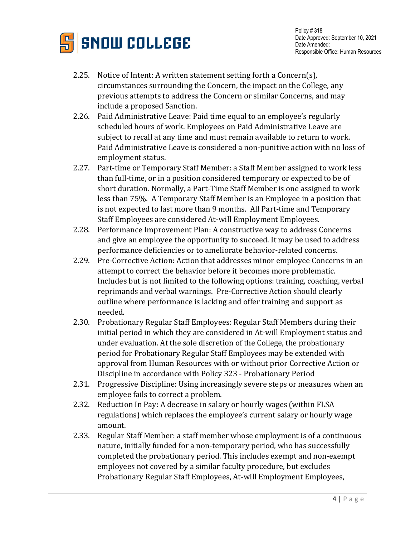

- 2.25. Notice of Intent: A written statement setting forth a Concern(s), circumstances surrounding the Concern, the impact on the College, any previous attempts to address the Concern or similar Concerns, and may include a proposed Sanction.
- 2.26. Paid Administrative Leave: Paid time equal to an employee's regularly scheduled hours of work. Employees on Paid Administrative Leave are subject to recall at any time and must remain available to return to work. Paid Administrative Leave is considered a non-punitive action with no loss of employment status.
- 2.27. Part-time or Temporary Staff Member: a Staff Member assigned to work less than full-time, or in a position considered temporary or expected to be of short duration. Normally, a Part-Time Staff Member is one assigned to work less than 75%. A Temporary Staff Member is an Employee in a position that is not expected to last more than 9 months. All Part-time and Temporary Staff Employees are considered At-will Employment Employees.
- 2.28. Performance Improvement Plan: A constructive way to address Concerns and give an employee the opportunity to succeed. It may be used to address performance deficiencies or to ameliorate behavior-related concerns.
- 2.29. Pre-Corrective Action: Action that addresses minor employee Concerns in an attempt to correct the behavior before it becomes more problematic. Includes but is not limited to the following options: training, coaching, verbal reprimands and verbal warnings. Pre-Corrective Action should clearly outline where performance is lacking and offer training and support as needed.
- 2.30. Probationary Regular Staff Employees: Regular Staff Members during their initial period in which they are considered in At-will Employment status and under evaluation. At the sole discretion of the College, the probationary period for Probationary Regular Staff Employees may be extended with approval from Human Resources with or without prior Corrective Action or Discipline in accordance with Policy 323 - Probationary Period
- 2.31. Progressive Discipline: Using increasingly severe steps or measures when an employee fails to correct a problem.
- 2.32. Reduction In Pay: A decrease in salary or hourly wages (within FLSA regulations) which replaces the employee's current salary or hourly wage amount.
- 2.33. Regular Staff Member: a staff member whose employment is of a continuous nature, initially funded for a non-temporary period, who has successfully completed the probationary period. This includes exempt and non-exempt employees not covered by a similar faculty procedure, but excludes Probationary Regular Staff Employees, At-will Employment Employees,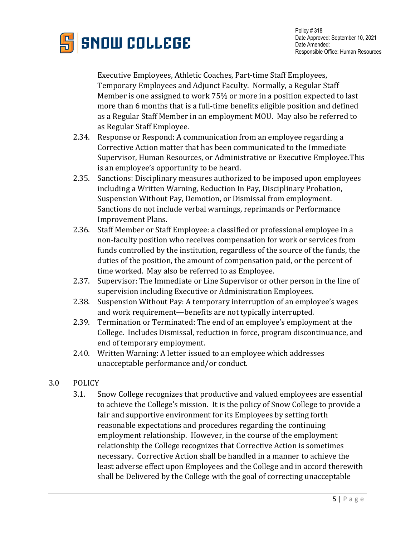

Executive Employees, Athletic Coaches, Part-time Staff Employees, Temporary Employees and Adjunct Faculty. Normally, a Regular Staff Member is one assigned to work 75% or more in a position expected to last more than 6 months that is a full-time benefits eligible position and defined as a Regular Staff Member in an employment MOU. May also be referred to as Regular Staff Employee.

- 2.34. Response or Respond: A communication from an employee regarding a Corrective Action matter that has been communicated to the Immediate Supervisor, Human Resources, or Administrative or Executive Employee.This is an employee's opportunity to be heard.
- 2.35. Sanctions: Disciplinary measures authorized to be imposed upon employees including a Written Warning, Reduction In Pay, Disciplinary Probation, Suspension Without Pay, Demotion, or Dismissal from employment. Sanctions do not include verbal warnings, reprimands or Performance Improvement Plans.
- 2.36. Staff Member or Staff Employee: a classified or professional employee in a non-faculty position who receives compensation for work or services from funds controlled by the institution, regardless of the source of the funds, the duties of the position, the amount of compensation paid, or the percent of time worked. May also be referred to as Employee.
- 2.37. Supervisor: The Immediate or Line Supervisor or other person in the line of supervision including Executive or Administration Employees.
- 2.38. Suspension Without Pay: A temporary interruption of an employee's wages and work requirement—benefits are not typically interrupted.
- 2.39. Termination or Terminated: The end of an employee's employment at the College. Includes Dismissal, reduction in force, program discontinuance, and end of temporary employment.
- 2.40. Written Warning: A letter issued to an employee which addresses unacceptable performance and/or conduct.
- 3.0 POLICY
	- 3.1. Snow College recognizes that productive and valued employees are essential to achieve the College's mission. It is the policy of Snow College to provide a fair and supportive environment for its Employees by setting forth reasonable expectations and procedures regarding the continuing employment relationship. However, in the course of the employment relationship the College recognizes that Corrective Action is sometimes necessary. Corrective Action shall be handled in a manner to achieve the least adverse effect upon Employees and the College and in accord therewith shall be Delivered by the College with the goal of correcting unacceptable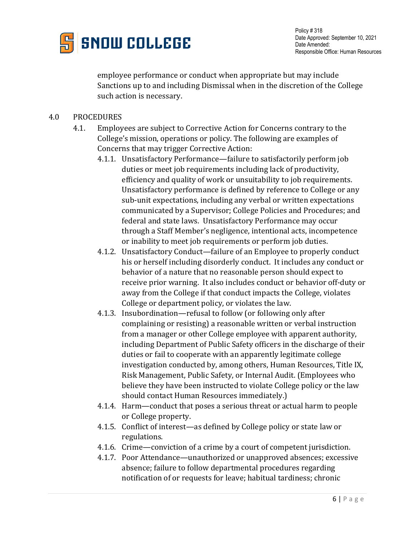

employee performance or conduct when appropriate but may include Sanctions up to and including Dismissal when in the discretion of the College such action is necessary.

## 4.0 PROCEDURES

- 4.1. Employees are subject to Corrective Action for Concerns contrary to the College's mission, operations or policy. The following are examples of Concerns that may trigger Corrective Action:
	- 4.1.1. Unsatisfactory Performance—failure to satisfactorily perform job duties or meet job requirements including lack of productivity, efficiency and quality of work or unsuitability to job requirements. Unsatisfactory performance is defined by reference to College or any sub-unit expectations, including any verbal or written expectations communicated by a Supervisor; College Policies and Procedures; and federal and state laws. Unsatisfactory Performance may occur through a Staff Member's negligence, intentional acts, incompetence or inability to meet job requirements or perform job duties.
	- 4.1.2. Unsatisfactory Conduct—failure of an Employee to properly conduct his or herself including disorderly conduct. It includes any conduct or behavior of a nature that no reasonable person should expect to receive prior warning. It also includes conduct or behavior off-duty or away from the College if that conduct impacts the College, violates College or department policy, or violates the law.
	- 4.1.3. Insubordination—refusal to follow (or following only after complaining or resisting) a reasonable written or verbal instruction from a manager or other College employee with apparent authority, including Department of Public Safety officers in the discharge of their duties or fail to cooperate with an apparently legitimate college investigation conducted by, among others, Human Resources, Title IX, Risk Management, Public Safety, or Internal Audit. (Employees who believe they have been instructed to violate College policy or the law should contact Human Resources immediately.)
	- 4.1.4. Harm—conduct that poses a serious threat or actual harm to people or College property.
	- 4.1.5. Conflict of interest—as defined by College policy or state law or regulations.
	- 4.1.6. Crime—conviction of a crime by a court of competent jurisdiction.
	- 4.1.7. Poor Attendance—unauthorized or unapproved absences; excessive absence; failure to follow departmental procedures regarding notification of or requests for leave; habitual tardiness; chronic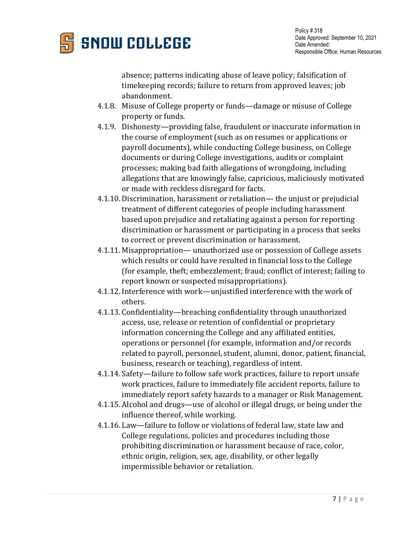

absence; patterns indicating abuse of leave policy; falsification of timekeeping records; failure to return from approved leaves; job abandonment.

- 4.1.8. Misuse of College property or funds—damage or misuse of College property or funds.
- 4.1.9. Dishonesty—providing false, fraudulent or inaccurate information in the course of employment (such as on resumes or applications or payroll documents), while conducting College business, on College documents or during College investigations, audits or complaint processes; making bad faith allegations of wrongdoing, including allegations that are knowingly false, capricious, maliciously motivated or made with reckless disregard for facts.
- 4.1.10. Discrimination, harassment or retaliation— the unjust or prejudicial treatment of different categories of people including harassment based upon prejudice and retaliating against a person for reporting discrimination or harassment or participating in a process that seeks to correct or prevent discrimination or harassment.
- 4.1.11. Misappropriation— unauthorized use or possession of College assets which results or could have resulted in financial loss to the College (for example, theft; embezzlement; fraud; conflict of interest; failing to report known or suspected misappropriations).
- 4.1.12. Interference with work—unjustified interference with the work of others.
- 4.1.13. Confidentiality—breaching confidentiality through unauthorized access, use, release or retention of confidential or proprietary information concerning the College and any affiliated entities, operations or personnel (for example, information and/or records related to payroll, personnel, student, alumni, donor, patient, financial, business, research or teaching), regardless of intent.
- 4.1.14. Safety—failure to follow safe work practices, failure to report unsafe work practices, failure to immediately file accident reports, failure to immediately report safety hazards to a manager or Risk Management.
- 4.1.15. Alcohol and drugs—use of alcohol or illegal drugs, or being under the influence thereof, while working.
- 4.1.16. Law—failure to follow or violations of federal law, state law and College regulations, policies and procedures including those prohibiting discrimination or harassment because of race, color, ethnic origin, religion, sex, age, disability, or other legally impermissible behavior or retaliation.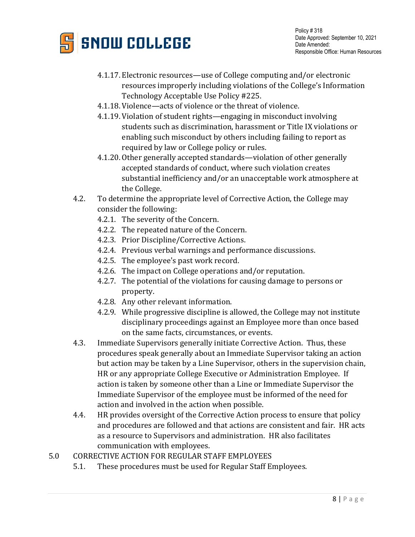

- 4.1.17. Electronic resources—use of College computing and/or electronic resources improperly including violations of the College's Information Technology Acceptable Use Policy #225.
- 4.1.18. Violence—acts of violence or the threat of violence.
- 4.1.19. Violation of student rights—engaging in misconduct involving students such as discrimination, harassment or Title IX violations or enabling such misconduct by others including failing to report as required by law or College policy or rules.
- 4.1.20. Other generally accepted standards—violation of other generally accepted standards of conduct, where such violation creates substantial inefficiency and/or an unacceptable work atmosphere at the College.
- 4.2. To determine the appropriate level of Corrective Action, the College may consider the following:
	- 4.2.1. The severity of the Concern.
	- 4.2.2. The repeated nature of the Concern.
	- 4.2.3. Prior Discipline/Corrective Actions.
	- 4.2.4. Previous verbal warnings and performance discussions.
	- 4.2.5. The employee's past work record.
	- 4.2.6. The impact on College operations and/or reputation.
	- 4.2.7. The potential of the violations for causing damage to persons or property.
	- 4.2.8. Any other relevant information.
	- 4.2.9. While progressive discipline is allowed, the College may not institute disciplinary proceedings against an Employee more than once based on the same facts, circumstances, or events.
- 4.3. Immediate Supervisors generally initiate Corrective Action. Thus, these procedures speak generally about an Immediate Supervisor taking an action but action may be taken by a Line Supervisor, others in the supervision chain, HR or any appropriate College Executive or Administration Employee. If action is taken by someone other than a Line or Immediate Supervisor the Immediate Supervisor of the employee must be informed of the need for action and involved in the action when possible.
- 4.4. HR provides oversight of the Corrective Action process to ensure that policy and procedures are followed and that actions are consistent and fair. HR acts as a resource to Supervisors and administration. HR also facilitates communication with employees.
- 5.0 CORRECTIVE ACTION FOR REGULAR STAFF EMPLOYEES
	- 5.1. These procedures must be used for Regular Staff Employees.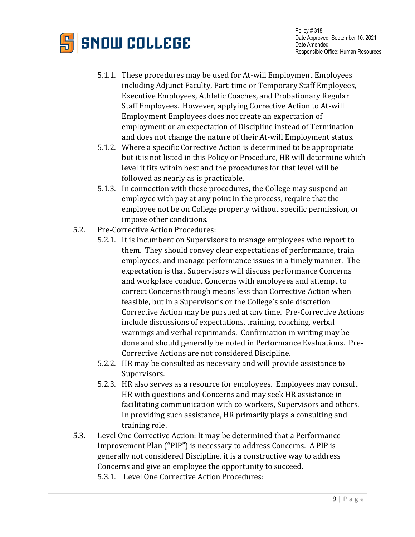

- 5.1.1. These procedures may be used for At-will Employment Employees including Adjunct Faculty, Part-time or Temporary Staff Employees, Executive Employees, Athletic Coaches, and Probationary Regular Staff Employees. However, applying Corrective Action to At-will Employment Employees does not create an expectation of employment or an expectation of Discipline instead of Termination and does not change the nature of their At-will Employment status.
- 5.1.2. Where a specific Corrective Action is determined to be appropriate but it is not listed in this Policy or Procedure, HR will determine which level it fits within best and the procedures for that level will be followed as nearly as is practicable.
- 5.1.3. In connection with these procedures, the College may suspend an employee with pay at any point in the process, require that the employee not be on College property without specific permission, or impose other conditions.
- 5.2. Pre-Corrective Action Procedures:
	- 5.2.1. It is incumbent on Supervisors to manage employees who report to them. They should convey clear expectations of performance, train employees, and manage performance issues in a timely manner. The expectation is that Supervisors will discuss performance Concerns and workplace conduct Concerns with employees and attempt to correct Concerns through means less than Corrective Action when feasible, but in a Supervisor's or the College's sole discretion Corrective Action may be pursued at any time. Pre-Corrective Actions include discussions of expectations, training, coaching, verbal warnings and verbal reprimands. Confirmation in writing may be done and should generally be noted in Performance Evaluations. Pre-Corrective Actions are not considered Discipline.
	- 5.2.2. HR may be consulted as necessary and will provide assistance to Supervisors.
	- 5.2.3. HR also serves as a resource for employees. Employees may consult HR with questions and Concerns and may seek HR assistance in facilitating communication with co-workers, Supervisors and others. In providing such assistance, HR primarily plays a consulting and training role.
- 5.3. Level One Corrective Action: It may be determined that a Performance Improvement Plan ("PIP") is necessary to address Concerns. A PIP is generally not considered Discipline, it is a constructive way to address Concerns and give an employee the opportunity to succeed. 5.3.1. Level One Corrective Action Procedures: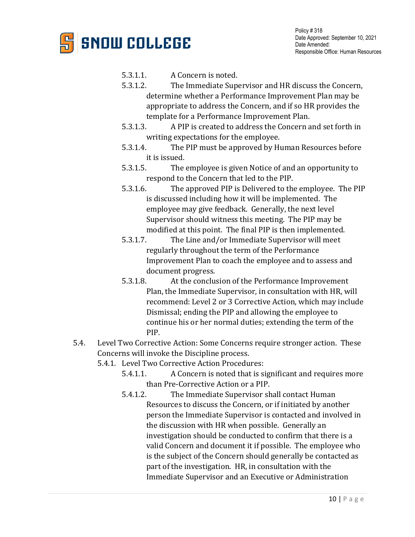

- 5.3.1.1. A Concern is noted.<br>5.3.1.2. The Immediate Sup-
- The Immediate Supervisor and HR discuss the Concern, determine whether a Performance Improvement Plan may be appropriate to address the Concern, and if so HR provides the template for a Performance Improvement Plan.<br>5.3.1.3. A PIP is created to address the Concern a
- A PIP is created to address the Concern and set forth in writing expectations for the employee.
- 5.3.1.4. The PIP must be approved by Human Resources before it is issued.<br>5.3.1.5. The
- The employee is given Notice of and an opportunity to respond to the Concern that led to the PIP.
- 5.3.1.6. The approved PIP is Delivered to the employee. The PIP is discussed including how it will be implemented. The employee may give feedback. Generally, the next level Supervisor should witness this meeting. The PIP may be modified at this point. The final PIP is then implemented.<br>5.3.1.7. The Line and/or Immediate Supervisor will meet
- The Line and/or Immediate Supervisor will meet regularly throughout the term of the Performance Improvement Plan to coach the employee and to assess and document progress.<br>5.3.1.8. At the conclu
- At the conclusion of the Performance Improvement Plan, the Immediate Supervisor, in consultation with HR, will recommend: Level 2 or 3 Corrective Action, which may include Dismissal; ending the PIP and allowing the employee to continue his or her normal duties; extending the term of the PIP.
- 5.4. Level Two Corrective Action: Some Concerns require stronger action. These Concerns will invoke the Discipline process.
	- 5.4.1. Level Two Corrective Action Procedures:<br>5.4.1.1. A Concern is noted that is si
		- 5.4.1.1. A Concern is noted that is significant and requires more than Pre-Corrective Action or a PIP.
		- 5.4.1.2. The Immediate Supervisor shall contact Human Resources to discuss the Concern, or if initiated by another person the Immediate Supervisor is contacted and involved in the discussion with HR when possible. Generally an investigation should be conducted to confirm that there is a valid Concern and document it if possible. The employee who is the subject of the Concern should generally be contacted as part of the investigation. HR, in consultation with the Immediate Supervisor and an Executive or Administration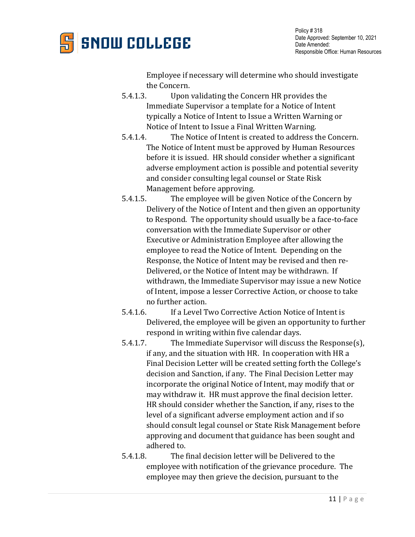

Employee if necessary will determine who should investigate the Concern.

- 5.4.1.3. Upon validating the Concern HR provides the Immediate Supervisor a template for a Notice of Intent typically a Notice of Intent to Issue a Written Warning or Notice of Intent to Issue a Final Written Warning.
- 5.4.1.4. The Notice of Intent is created to address the Concern. The Notice of Intent must be approved by Human Resources before it is issued. HR should consider whether a significant adverse employment action is possible and potential severity and consider consulting legal counsel or State Risk Management before approving.<br>5.4.1.5. The employee will be giv
- The employee will be given Notice of the Concern by Delivery of the Notice of Intent and then given an opportunity to Respond. The opportunity should usually be a face-to-face conversation with the Immediate Supervisor or other Executive or Administration Employee after allowing the employee to read the Notice of Intent. Depending on the Response, the Notice of Intent may be revised and then re-Delivered, or the Notice of Intent may be withdrawn. If withdrawn, the Immediate Supervisor may issue a new Notice of Intent, impose a lesser Corrective Action, or choose to take no further action.
- 5.4.1.6. If a Level Two Corrective Action Notice of Intent is Delivered, the employee will be given an opportunity to further respond in writing within five calendar days.<br>5.4.1.7. The Immediate Supervisor will discuss
- The Immediate Supervisor will discuss the Response(s), if any, and the situation with HR. In cooperation with HR a Final Decision Letter will be created setting forth the College's decision and Sanction, if any. The Final Decision Letter may incorporate the original Notice of Intent, may modify that or may withdraw it. HR must approve the final decision letter. HR should consider whether the Sanction, if any, rises to the level of a significant adverse employment action and if so should consult legal counsel or State Risk Management before approving and document that guidance has been sought and adhered to.<br>5.4.1.8. The
- The final decision letter will be Delivered to the employee with notification of the grievance procedure. The employee may then grieve the decision, pursuant to the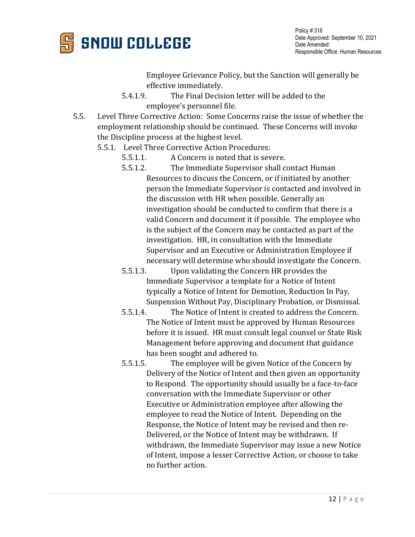

Employee Grievance Policy, but the Sanction will generally be

- effective immediately.<br>5.4.1.9. The Final Decis The Final Decision letter will be added to the employee's personnel file.
- 5.5. Level Three Corrective Action: Some Concerns raise the issue of whether the employment relationship should be continued. These Concerns will invoke the Discipline process at the highest level.
	- 5.5.1. Level Three Corrective Action Procedures:<br>5.5.1.1. A Concern is noted that is sev
		- 5.5.1.1. A Concern is noted that is severe.<br>5.5.1.2. The Immediate Supervisor shall c
		- The Immediate Supervisor shall contact Human Resources to discuss the Concern, or if initiated by another person the Immediate Supervisor is contacted and involved in the discussion with HR when possible. Generally an investigation should be conducted to confirm that there is a valid Concern and document it if possible. The employee who is the subject of the Concern may be contacted as part of the investigation. HR, in consultation with the Immediate Supervisor and an Executive or Administration Employee if necessary will determine who should investigate the Concern.
		- 5.5.1.3. Upon validating the Concern HR provides the Immediate Supervisor a template for a Notice of Intent typically a Notice of Intent for Demotion, Reduction In Pay, Suspension Without Pay, Disciplinary Probation, or Dismissal.
		- 5.5.1.4. The Notice of Intent is created to address the Concern. The Notice of Intent must be approved by Human Resources before it is issued. HR must consult legal counsel or State Risk Management before approving and document that guidance has been sought and adhered to.
		- 5.5.1.5. The employee will be given Notice of the Concern by Delivery of the Notice of Intent and then given an opportunity to Respond. The opportunity should usually be a face-to-face conversation with the Immediate Supervisor or other Executive or Administration employee after allowing the employee to read the Notice of Intent. Depending on the Response, the Notice of Intent may be revised and then re-Delivered, or the Notice of Intent may be withdrawn. If withdrawn, the Immediate Supervisor may issue a new Notice of Intent, impose a lesser Corrective Action, or choose to take no further action.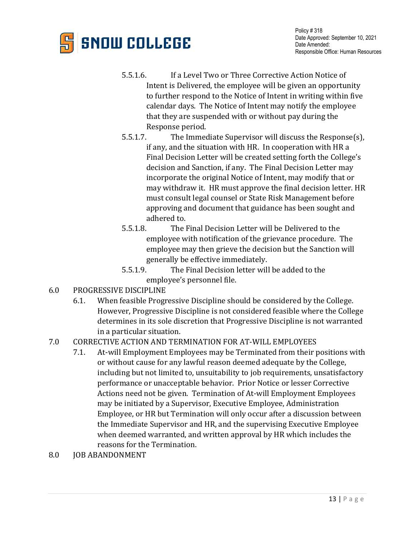

- 5.5.1.6. If a Level Two or Three Corrective Action Notice of Intent is Delivered, the employee will be given an opportunity to further respond to the Notice of Intent in writing within five calendar days. The Notice of Intent may notify the employee that they are suspended with or without pay during the Response period.
- 5.5.1.7. The Immediate Supervisor will discuss the Response(s), if any, and the situation with HR. In cooperation with HR a Final Decision Letter will be created setting forth the College's decision and Sanction, if any. The Final Decision Letter may incorporate the original Notice of Intent, may modify that or may withdraw it. HR must approve the final decision letter. HR must consult legal counsel or State Risk Management before approving and document that guidance has been sought and adhered to.<br>5.5.1.8. The l
- The Final Decision Letter will be Delivered to the employee with notification of the grievance procedure. The employee may then grieve the decision but the Sanction will
- generally be effective immediately.<br>5.5.1.9. The Final Decision letter will The Final Decision letter will be added to the employee's personnel file.
- 6.0 PROGRESSIVE DISCIPLINE<br>6.1. When feasible Progr
	- When feasible Progressive Discipline should be considered by the College. However, Progressive Discipline is not considered feasible where the College determines in its sole discretion that Progressive Discipline is not warranted in a particular situation.
- 7.0 CORRECTIVE ACTION AND TERMINATION FOR AT-WILL EMPLOYEES
	- 7.1. At-will Employment Employees may be Terminated from their positions with or without cause for any lawful reason deemed adequate by the College, including but not limited to, unsuitability to job requirements, unsatisfactory performance or unacceptable behavior. Prior Notice or lesser Corrective Actions need not be given. Termination of At-will Employment Employees may be initiated by a Supervisor, Executive Employee, Administration Employee, or HR but Termination will only occur after a discussion between the Immediate Supervisor and HR, and the supervising Executive Employee when deemed warranted, and written approval by HR which includes the reasons for the Termination.
- 8.0 JOB ABANDONMENT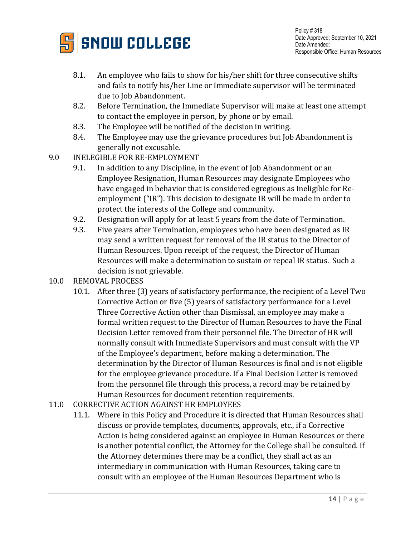

- 8.1. An employee who fails to show for his/her shift for three consecutive shifts and fails to notify his/her Line or Immediate supervisor will be terminated due to Job Abandonment.
- 8.2. Before Termination, the Immediate Supervisor will make at least one attempt to contact the employee in person, by phone or by email.
- 8.3. The Employee will be notified of the decision in writing.<br>8.4. The Employee may use the grievance procedures but Job
- The Employee may use the grievance procedures but Job Abandonment is generally not excusable.
- 9.0 INELEGIBLE FOR RE-EMPLOYMENT<br>9.1. In addition to any Discipline, i
	- In addition to any Discipline, in the event of Job Abandonment or an Employee Resignation, Human Resources may designate Employees who have engaged in behavior that is considered egregious as Ineligible for Reemployment ("IR"). This decision to designate IR will be made in order to protect the interests of the College and community.
	- 9.2. Designation will apply for at least 5 years from the date of Termination.<br>9.3. Five years after Termination, employees who have been designated as IF
	- 9.3. Five years after Termination, employees who have been designated as IR may send a written request for removal of the IR status to the Director of Human Resources. Upon receipt of the request, the Director of Human Resources will make a determination to sustain or repeal IR status. Such a decision is not grievable.
- 10.0 REMOVAL PROCESS
	- 10.1. After three (3) years of satisfactory performance, the recipient of a Level Two Corrective Action or five (5) years of satisfactory performance for a Level Three Corrective Action other than Dismissal, an employee may make a formal written request to the Director of Human Resources to have the Final Decision Letter removed from their personnel file. The Director of HR will normally consult with Immediate Supervisors and must consult with the VP of the Employee's department, before making a determination. The determination by the Director of Human Resources is final and is not eligible for the employee grievance procedure. If a Final Decision Letter is removed from the personnel file through this process, a record may be retained by Human Resources for document retention requirements.
- 11.0 CORRECTIVE ACTION AGAINST HR EMPLOYEES
	- 11.1. Where in this Policy and Procedure it is directed that Human Resources shall discuss or provide templates, documents, approvals, etc., if a Corrective Action is being considered against an employee in Human Resources or there is another potential conflict, the Attorney for the College shall be consulted. If the Attorney determines there may be a conflict, they shall act as an intermediary in communication with Human Resources, taking care to consult with an employee of the Human Resources Department who is